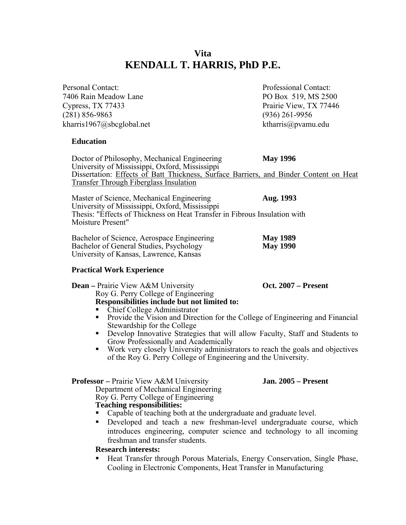# **Vita KENDALL T. HARRIS, PhD P.E.**

| Personal Contact:                                                                                                                                                                                                                 | Professional Contact:              |  |
|-----------------------------------------------------------------------------------------------------------------------------------------------------------------------------------------------------------------------------------|------------------------------------|--|
| 7406 Rain Meadow Lane                                                                                                                                                                                                             | PO Box 519, MS 2500                |  |
| Cypress, TX 77433                                                                                                                                                                                                                 | Prairie View, TX 77446             |  |
| $(281) 856 - 9863$                                                                                                                                                                                                                | $(936)$ 261-9956                   |  |
| kharris1967@sbcglobal.net                                                                                                                                                                                                         | ktharris@pvamu.edu                 |  |
| <b>Education</b>                                                                                                                                                                                                                  |                                    |  |
| Doctor of Philosophy, Mechanical Engineering<br>University of Mississippi, Oxford, Mississippi<br>Dissertation: Effects of Batt Thickness, Surface Barriers, and Binder Content on Heat<br>Transfer Through Fiberglass Insulation | <b>May 1996</b>                    |  |
| Master of Science, Mechanical Engineering<br>Aug. 1993<br>University of Mississippi, Oxford, Mississippi<br>Thesis: "Effects of Thickness on Heat Transfer in Fibrous Insulation with<br>Moisture Present"                        |                                    |  |
| Bachelor of Science, Aerospace Engineering<br>Bachelor of General Studies, Psychology<br>University of Kansas, Lawrence, Kansas                                                                                                   | <b>May 1989</b><br><b>May 1990</b> |  |

### **Practical Work Experience**

**Dean** – Prairie View A&M University **Oct. 2007** – Present Roy G. Perry College of Engineering Responsibilities include but not limited to:

- Chief College Administrator
- **Provide the Vision and Direction for the College of Engineering and Financial** Stewardship for the College
- Develop Innovative Strategies that will allow Faculty, Staff and Students to Grow Professionally and Academically
- Work very closely University administrators to reach the goals and objectives of the Roy G. Perry College of Engineering and the University.

 **Professor –** Prairie View A&M University **Jan. 2005 – Present** 

Department of Mechanical Engineering Roy G. Perry College of Engineering  **Teaching responsibilities:** 

- Capable of teaching both at the undergraduate and graduate level.
- **•** Developed and teach a new freshman-level undergraduate course, which introduces engineering, computer science and technology to all incoming freshman and transfer students.

#### **Research interests:**

 Heat Transfer through Porous Materials, Energy Conservation, Single Phase, Cooling in Electronic Components, Heat Transfer in Manufacturing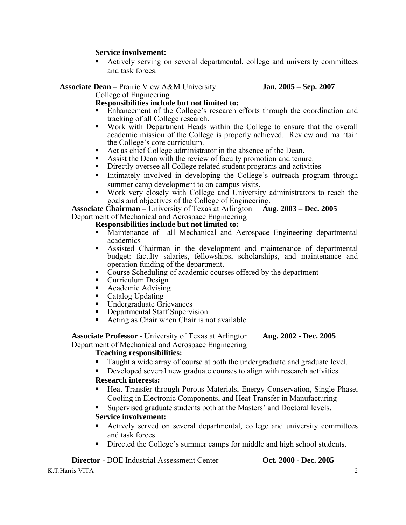## **Service involvement:**

 Actively serving on several departmental, college and university committees and task forces.

**Associate Dean –** Prairie View A&M University **Jan. 2005 – Sep. 2007** 

College of Engineering

# **Responsibilities include but not limited to:**

- Enhancement of the College's research efforts through the coordination and tracking of all College research.
- Work with Department Heads within the College to ensure that the overall academic mission of the College is properly achieved. Review and maintain the College's core curriculum.
- Act as chief College administrator in the absence of the Dean.
- Assist the Dean with the review of faculty promotion and tenure.
- Directly oversee all College related student programs and activities
- Intimately involved in developing the College's outreach program through summer camp development to on campus visits.
- Work very closely with College and University administrators to reach the goals and objectives of the College of Engineering.

**Associate Chairman –** University of Texas at Arlington **Aug. 2003 – Dec. 2005**  Department of Mechanical and Aerospace Engineering

# **Responsibilities include but not limited to:**

- Maintenance of all Mechanical and Aerospace Engineering departmental academics
- Assisted Chairman in the development and maintenance of departmental budget: faculty salaries, fellowships, scholarships, and maintenance and operation funding of the department.
- Course Scheduling of academic courses offered by the department
- **Curriculum Design**
- Academic Advising
- Catalog Updating<br>• Undergraduate Gr
- Undergraduate Grievances
- **-** Departmental Staff Supervision
- Acting as Chair when Chair is not available

# **Associate Professor** - University of Texas at Arlington **Aug. 2002 - Dec. 2005**  Department of Mechanical and Aerospace Engineering

### **Teaching responsibilities:**

- Taught a wide array of course at both the undergraduate and graduate level.
- Developed several new graduate courses to align with research activities.

# **Research interests:**

- **Heat Transfer through Porous Materials, Energy Conservation, Single Phase,** Cooling in Electronic Components, and Heat Transfer in Manufacturing
- Supervised graduate students both at the Masters' and Doctoral levels.

# **Service involvement:**

- Actively served on several departmental, college and university committees and task forces.
- Directed the College's summer camps for middle and high school students.

**Director -** DOE Industrial Assessment Center **Oct. 2000 - Dec. 2005** 

K.T.Harris VITA 2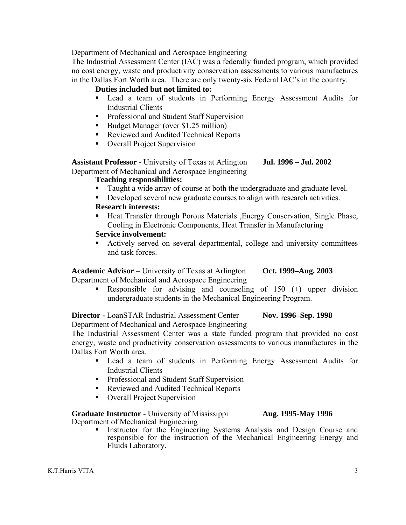Department of Mechanical and Aerospace Engineering

The Industrial Assessment Center (IAC) was a federally funded program, which provided no cost energy, waste and productivity conservation assessments to various manufactures in the Dallas Fort Worth area. There are only twenty-six Federal IAC's in the country.

# **Duties included but not limited to:**

- Lead a team of students in Performing Energy Assessment Audits for Industrial Clients
- **•** Professional and Student Staff Supervision
- Budget Manager (over \$1.25 million)
- Reviewed and Audited Technical Reports
- Overall Project Supervision

**Assistant Professor** - University of Texas at Arlington **Jul. 1996 – Jul. 2002** Department of Mechanical and Aerospace Engineering

### **Teaching responsibilities:**

- Taught a wide array of course at both the undergraduate and graduate level.
- Developed several new graduate courses to align with research activities.

### **Research interests:**

**Heat Transfer through Porous Materials , Energy Conservation, Single Phase,** Cooling in Electronic Components, Heat Transfer in Manufacturing

#### **Service involvement:**

 Actively served on several departmental, college and university committees and task forces.

**Academic Advisor** – University of Texas at Arlington **Oct. 1999–Aug. 2003** Department of Mechanical and Aerospace Engineering

 Responsible for advising and counseling of 150 (+) upper division undergraduate students in the Mechanical Engineering Program.

**Director -** LoanSTAR Industrial Assessment Center **Nov. 1996–Sep. 1998** Department of Mechanical and Aerospace Engineering

The Industrial Assessment Center was a state funded program that provided no cost energy, waste and productivity conservation assessments to various manufactures in the Dallas Fort Worth area.

- Lead a team of students in Performing Energy Assessment Audits for Industrial Clients
- **Professional and Student Staff Supervision**
- Reviewed and Audited Technical Reports
- Overall Project Supervision

**Graduate Instructor** - University of Mississippi **Aug. 1995-May 1996** Department of Mechanical Engineering

 Instructor for the Engineering Systems Analysis and Design Course and responsible for the instruction of the Mechanical Engineering Energy and Fluids Laboratory.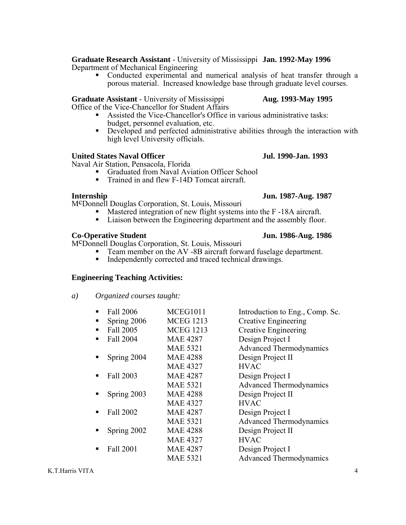**Graduate Research Assistant** - University of Mississippi **Jan. 1992-May 1996** Department of Mechanical Engineering

 Conducted experimental and numerical analysis of heat transfer through a porous material. Increased knowledge base through graduate level courses.

**Graduate Assistant** - University of Mississippi **Aug. 1993-May 1995** 

- Office of the Vice-Chancellor for Student Affairs<br>
Assisted the Vice-Chancellor's Office in various administrative tasks:
	- budget, personnel evaluation, etc.<br> **Developed and perfected administrative abilities through the interaction with** high level University officials.

#### **United States Naval Officer Jul. 1990-Jan. 1993**

Naval Air Station, Pensacola, Florida

- Graduated from Naval Aviation Officer School
- Trained in and flew F-14D Tomcat aircraft.

McDonnell Douglas Corporation, St. Louis, Missouri

- Mastered integration of new flight systems into the F-18A aircraft.<br>■ Liaison between the Engineering department and the assembly floor
- Liaison between the Engineering department and the assembly floor.

#### **Co-Operative Student Jun. 1986-Aug. 1986**

McDonnell Douglas Corporation, St. Louis, Missouri

- Team member on the AV -8B aircraft forward fuselage department.
- Independently corrected and traced technical drawings.

### **Engineering Teaching Activities:**

- *a) Organized courses taught:* 
	- Fall 2006 MCEG1011 Introduction to Eng., Comp. Sc. • Spring 2006 MCEG 1213 Creative Engineering Fall 2005 MCEG 1213 Creative Engineering • Fall 2004 MAE 4287 Design Project I MAE 5321 Advanced Thermodynamics Spring 2004 MAE 4288 Design Project II MAE 4327 HVAC • Fall 2003 MAE 4287 Design Project I MAE 5321 Advanced Thermodynamics Spring 2003 MAE 4288 Design Project II MAE 4327 HVAC • Fall 2002 MAE 4287 Design Project I MAE 5321 Advanced Thermodynamics Spring 2002 MAE 4288 Design Project II MAE 4327 HVAC Fall 2001 MAE 4287 Design Project I MAE 5321 Advanced Thermodynamics

# **Internship Jun. 1987-Aug. 1987**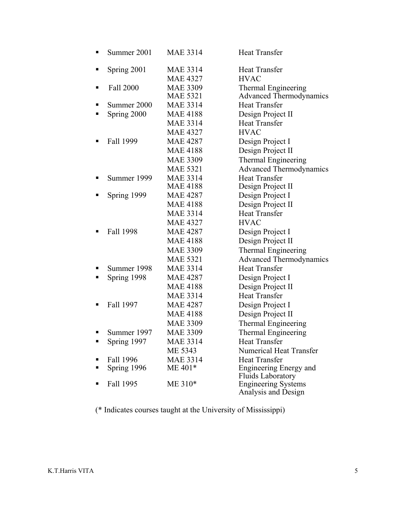| Ξ | Summer 2001 | <b>MAE 3314</b> | <b>Heat Transfer</b>                              |
|---|-------------|-----------------|---------------------------------------------------|
| П | Spring 2001 | <b>MAE 3314</b> | <b>Heat Transfer</b>                              |
|   |             | <b>MAE 4327</b> | <b>HVAC</b>                                       |
| ٠ | Fall 2000   | <b>MAE 3309</b> | Thermal Engineering                               |
|   |             | <b>MAE 5321</b> | <b>Advanced Thermodynamics</b>                    |
| п | Summer 2000 | <b>MAE 3314</b> | <b>Heat Transfer</b>                              |
| Ξ | Spring 2000 | <b>MAE 4188</b> | Design Project II                                 |
|   |             | <b>MAE 3314</b> | <b>Heat Transfer</b>                              |
|   |             | <b>MAE 4327</b> | <b>HVAC</b>                                       |
| п | Fall 1999   | <b>MAE 4287</b> | Design Project I                                  |
|   |             | <b>MAE 4188</b> | Design Project II                                 |
|   |             | <b>MAE 3309</b> | <b>Thermal Engineering</b>                        |
|   |             | <b>MAE 5321</b> | <b>Advanced Thermodynamics</b>                    |
| п | Summer 1999 | <b>MAE 3314</b> | <b>Heat Transfer</b>                              |
|   |             | <b>MAE 4188</b> | Design Project II                                 |
| п | Spring 1999 | <b>MAE 4287</b> | Design Project I                                  |
|   |             | <b>MAE 4188</b> | Design Project II                                 |
|   |             | <b>MAE 3314</b> | <b>Heat Transfer</b>                              |
|   |             | <b>MAE 4327</b> | <b>HVAC</b>                                       |
| п | Fall 1998   | <b>MAE 4287</b> | Design Project I                                  |
|   |             | <b>MAE 4188</b> | Design Project II                                 |
|   |             | <b>MAE 3309</b> | <b>Thermal Engineering</b>                        |
|   |             | <b>MAE 5321</b> | <b>Advanced Thermodynamics</b>                    |
| п | Summer 1998 | <b>MAE 3314</b> | <b>Heat Transfer</b>                              |
| п | Spring 1998 | <b>MAE 4287</b> | Design Project I                                  |
|   |             | <b>MAE 4188</b> | Design Project II                                 |
|   |             | <b>MAE 3314</b> | <b>Heat Transfer</b>                              |
| п | Fall 1997   | <b>MAE 4287</b> | Design Project I                                  |
|   |             | <b>MAE 4188</b> | Design Project II                                 |
|   |             | <b>MAE 3309</b> | Thermal Engineering                               |
| п | Summer 1997 | <b>MAE 3309</b> | Thermal Engineering                               |
| п | Spring 1997 | <b>MAE 3314</b> | <b>Heat Transfer</b>                              |
|   |             | ME 5343         | <b>Numerical Heat Transfer</b>                    |
| П | Fall 1996   | <b>MAE 3314</b> | <b>Heat Transfer</b>                              |
| п | Spring 1996 | ME 401*         | Engineering Energy and                            |
|   |             |                 | <b>Fluids Laboratory</b>                          |
| п | Fall 1995   | ME 310*         | <b>Engineering Systems</b><br>Analysis and Design |

(\* Indicates courses taught at the University of Mississippi)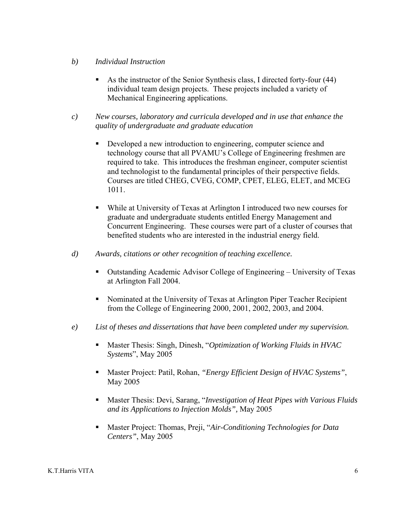# *b) Individual Instruction*

- As the instructor of the Senior Synthesis class, I directed forty-four (44) individual team design projects. These projects included a variety of Mechanical Engineering applications.
- *c) New courses, laboratory and curricula developed and in use that enhance the quality of undergraduate and graduate education* 
	- Developed a new introduction to engineering, computer science and technology course that all PVAMU's College of Engineering freshmen are required to take. This introduces the freshman engineer, computer scientist and technologist to the fundamental principles of their perspective fields. Courses are titled CHEG, CVEG, COMP, CPET, ELEG, ELET, and MCEG 1011.
	- While at University of Texas at Arlington I introduced two new courses for graduate and undergraduate students entitled Energy Management and Concurrent Engineering. These courses were part of a cluster of courses that benefited students who are interested in the industrial energy field.
- *d) Awards, citations or other recognition of teaching excellence.* 
	- Outstanding Academic Advisor College of Engineering University of Texas at Arlington Fall 2004.
	- Nominated at the University of Texas at Arlington Piper Teacher Recipient from the College of Engineering 2000, 2001, 2002, 2003, and 2004.
- *e) List of theses and dissertations that have been completed under my supervision.* 
	- Master Thesis: Singh, Dinesh, "*Optimization of Working Fluids in HVAC Systems*", May 2005
	- Master Project: Patil, Rohan, *"Energy Efficient Design of HVAC Systems"*, May 2005
	- Master Thesis: Devi, Sarang, "*Investigation of Heat Pipes with Various Fluids and its Applications to Injection Molds",* May 2005
	- Master Project: Thomas, Preji, "*Air-Conditioning Technologies for Data Centers"*, May 2005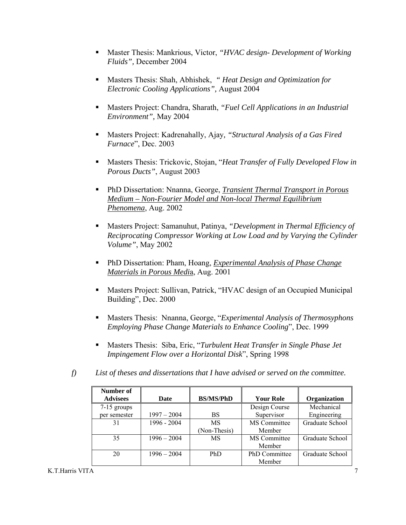- Master Thesis: Mankrious, Victor, *"HVAC design- Development of Working Fluids",* December 2004
- Masters Thesis: Shah, Abhishek, *" Heat Design and Optimization for Electronic Cooling Applications",* August 2004
- Masters Project: Chandra, Sharath, *"Fuel Cell Applications in an Industrial Environment",* May 2004
- Masters Project: Kadrenahally, Ajay*, "Structural Analysis of a Gas Fired Furnace*", Dec. 2003
- Masters Thesis: Trickovic, Stojan, "*Heat Transfer of Fully Developed Flow in Porous Ducts"*, August 2003
- PhD Dissertation: Nnanna, George, *Transient Thermal Transport in Porous Medium – Non-Fourier Model and Non-local Thermal Equilibrium Phenomena*, Aug. 2002
- Masters Project: Samanuhut, Patinya, *"Development in Thermal Efficiency of Reciprocating Compressor Working at Low Load and by Varying the Cylinder Volume"*, May 2002
- PhD Dissertation: Pham, Hoang, *Experimental Analysis of Phase Change Materials in Porous Medi*a, Aug. 2001
- Masters Project: Sullivan, Patrick, "HVAC design of an Occupied Municipal Building", Dec. 2000
- Masters Thesis: Nnanna, George, "*Experimental Analysis of Thermosyphons Employing Phase Change Materials to Enhance Cooling*", Dec. 1999
- Masters Thesis: Siba, Eric, "*Turbulent Heat Transfer in Single Phase Jet Impingement Flow over a Horizontal Disk*", Spring 1998
- *f) List of theses and dissertations that I have advised or served on the committee.*

| Number of       |               |                  |                     |                 |
|-----------------|---------------|------------------|---------------------|-----------------|
| <b>Advisees</b> | Date          | <b>BS/MS/PhD</b> | <b>Your Role</b>    | Organization    |
| $7-15$ groups   |               |                  | Design Course       | Mechanical      |
| per semester    | $1997 - 2004$ | BS               | Supervisor          | Engineering     |
| 31              | 1996 - 2004   | MS               | <b>MS</b> Committee | Graduate School |
|                 |               | (Non-Thesis)     | Member              |                 |
| 35              | $1996 - 2004$ | MS               | MS Committee        | Graduate School |
|                 |               |                  | Member              |                 |
| 20              | $1996 - 2004$ | <b>PhD</b>       | PhD Committee       | Graduate School |
|                 |               |                  | Member              |                 |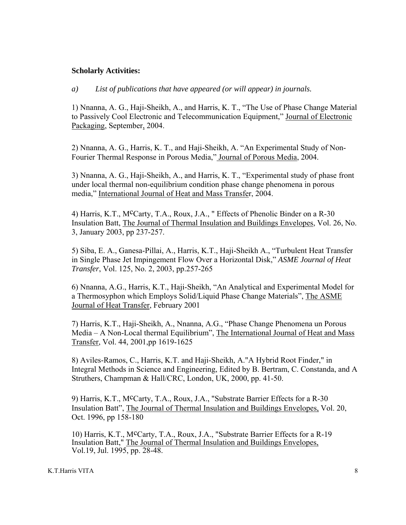#### **Scholarly Activities:**

*a) List of publications that have appeared (or will appear) in journals.* 

1) Nnanna, A. G., Haji-Sheikh, A., and Harris, K. T., "The Use of Phase Change Material to Passively Cool Electronic and Telecommunication Equipment," Journal of Electronic Packaging, September, 2004.

2) Nnanna, A. G., Harris, K. T., and Haji-Sheikh, A. "An Experimental Study of Non-Fourier Thermal Response in Porous Media," Journal of Porous Media, 2004.

3) Nnanna, A. G., Haji-Sheikh, A., and Harris, K. T., "Experimental study of phase front under local thermal non-equilibrium condition phase change phenomena in porous media," International Journal of Heat and Mass Transfer, 2004.

4) Harris, K.T., McCarty, T.A., Roux, J.A., " Effects of Phenolic Binder on a R-30 Insulation Batt, The Journal of Thermal Insulation and Buildings Envelopes, Vol. 26, No. 3, January 2003, pp 237-257.

5) Siba, E. A., Ganesa-Pillai, A., Harris, K.T., Haji-Sheikh A., "Turbulent Heat Transfer in Single Phase Jet Impingement Flow Over a Horizontal Disk," *ASME Journal of Heat Transfer*, Vol. 125, No. 2, 2003, pp.257-265

6) Nnanna, A.G., Harris, K.T., Haji-Sheikh, "An Analytical and Experimental Model for a Thermosyphon which Employs Solid/Liquid Phase Change Materials", The ASME Journal of Heat Transfer, February 2001

7) Harris, K.T., Haji-Sheikh, A., Nnanna, A.G., "Phase Change Phenomena un Porous Media – A Non-Local thermal Equilibrium", The International Journal of Heat and Mass Transfer, Vol. 44, 2001,pp 1619-1625

8) Aviles-Ramos, C., Harris, K.T. and Haji-Sheikh, A."A Hybrid Root Finder," in Integral Methods in Science and Engineering, Edited by B. Bertram, C. Constanda, and A Struthers, Champman & Hall/CRC, London, UK, 2000, pp. 41-50.

9) Harris, K.T., M<sup>c</sup>Carty, T.A., Roux, J.A., "Substrate Barrier Effects for a R-30 Insulation Batt", The Journal of Thermal Insulation and Buildings Envelopes, Vol. 20, Oct. 1996, pp 158-180

10) Harris, K.T., M<sup>c</sup>Carty, T.A., Roux, J.A., "Substrate Barrier Effects for a R-19 Insulation Batt," The Journal of Thermal Insulation and Buildings Envelopes, Vol.19, Jul. 1995, pp. 28-48.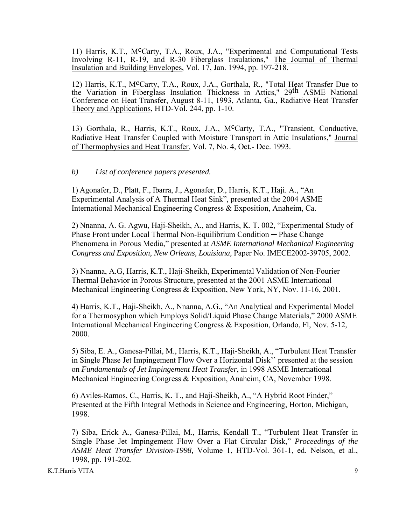11) Harris, K.T., McCarty, T.A., Roux, J.A., "Experimental and Computational Tests Involving R-11, R-19, and R-30 Fiberglass Insulations," The Journal of Thermal Insulation and Building Envelopes, Vol. 17, Jan. 1994, pp. 197-218.

12) Harris, K.T., McCarty, T.A., Roux, J.A., Gorthala, R., "Total Heat Transfer Due to the Variation in Fiberglass Insulation Thickness in Attics," 29th ASME National Conference on Heat Transfer, August 8-11, 1993, Atlanta, Ga., Radiative Heat Transfer Theory and Applications, HTD-Vol. 244, pp. 1-10.

13) Gorthala, R., Harris, K.T., Roux, J.A., McCarty, T.A., "Transient, Conductive, Radiative Heat Transfer Coupled with Moisture Transport in Attic Insulations," Journal of Thermophysics and Heat Transfer, Vol. 7, No. 4, Oct.- Dec. 1993.

*b) List of conference papers presented.* 

1) Agonafer, D., Platt, F., Ibarra, J., Agonafer, D., Harris, K.T., Haji. A., "An Experimental Analysis of A Thermal Heat Sink", presented at the 2004 ASME International Mechanical Engineering Congress & Exposition, Anaheim, Ca.

2) Nnanna, A. G. Agwu, Haji-Sheikh, A., and Harris, K. T. 002, "Experimental Study of Phase Front under Local Thermal Non-Equilibrium Condition ─ Phase Change Phenomena in Porous Media," presented at *ASME International Mechanical Engineering Congress and Exposition, New Orleans, Louisiana,* Paper No. IMECE2002-39705, 2002.

3) Nnanna, A.G, Harris, K.T., Haji-Sheikh, Experimental Validation Of Non-Fourier Thermal Behavior in Porous Structure, presented at the 2001 ASME International Mechanical Engineering Congress & Exposition, New York, NY, Nov. 11-16, 2001.

4) Harris, K.T., Haji-Sheikh, A., Nnanna, A.G., "An Analytical and Experimental Model for a Thermosyphon which Employs Solid/Liquid Phase Change Materials," 2000 ASME International Mechanical Engineering Congress & Exposition, Orlando, Fl, Nov. 5-12, 2000.

5) Siba, E. A., Ganesa-Pillai, M., Harris, K.T., Haji-Sheikh, A., "Turbulent Heat Transfer in Single Phase Jet Impingement Flow Over a Horizontal Disk'' presented at the session on *Fundamentals of Jet Impingement Heat Transfer*, in 1998 ASME International Mechanical Engineering Congress & Exposition, Anaheim, CA, November 1998.

6) Aviles-Ramos, C., Harris, K. T., and Haji-Sheikh, A., "A Hybrid Root Finder," Presented at the Fifth Integral Methods in Science and Engineering, Horton, Michigan, 1998.

7) Siba, Erick A., Ganesa-Pillai, M., Harris, Kendall T., "Turbulent Heat Transfer in Single Phase Jet Impingement Flow Over a Flat Circular Disk," *Proceedings of the ASME Heat Transfer Division-1998,* Volume 1, HTD-Vol. 361-1, ed. Nelson, et al., 1998, pp. 191-202.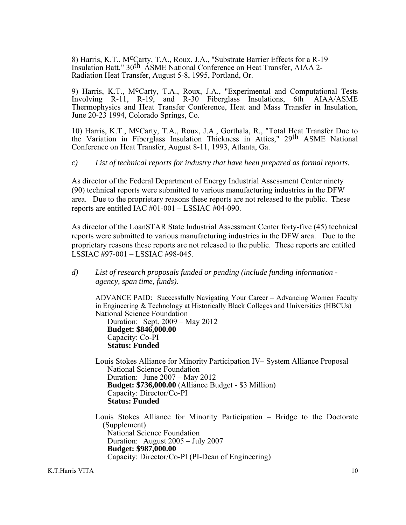8) Harris, K.T., M<sup>c</sup>Carty, T.A., Roux, J.A., "Substrate Barrier Effects for a R-19 Insulation Batt," 30th ASME National Conference on Heat Transfer, AIAA 2- Radiation Heat Transfer, August 5-8, 1995, Portland, Or.

9) Harris, K.T., McCarty, T.A., Roux, J.A., "Experimental and Computational Tests Involving R-11, R-19, and R-30 Fiberglass Insulations, 6th AIAA/ASME Thermophysics and Heat Transfer Conference, Heat and Mass Transfer in Insulation, June 20-23 1994, Colorado Springs, Co.

10) Harris, K.T., McCarty, T.A., Roux, J.A., Gorthala, R., "Total Heat Transfer Due to the Variation in Fiberglass Insulation Thickness in Attics," 29th ASME National Conference on Heat Transfer, August 8-11, 1993, Atlanta, Ga.

*c) List of technical reports for industry that have been prepared as formal reports.* 

As director of the Federal Department of Energy Industrial Assessment Center ninety (90) technical reports were submitted to various manufacturing industries in the DFW area. Due to the proprietary reasons these reports are not released to the public. These reports are entitled IAC #01-001 – LSSIAC #04-090.

As director of the LoanSTAR State Industrial Assessment Center forty-five (45) technical reports were submitted to various manufacturing industries in the DFW area. Due to the proprietary reasons these reports are not released to the public. These reports are entitled LSSIAC #97-001 – LSSIAC #98-045.

*d) List of research proposals funded or pending (include funding information agency, span time, funds).* 

ADVANCE PAID: Successfully Navigating Your Career – Advancing Women Faculty in Engineering & Technology at Historically Black Colleges and Universities (HBCUs) National Science Foundation

 Duration: Sept. 2009 – May 2012 **Budget: \$846,000.00**  Capacity: Co-PI  **Status: Funded** 

Louis Stokes Alliance for Minority Participation IV– System Alliance Proposal National Science Foundation Duration: June 2007 – May 2012 **Budget: \$736,000.00** (Alliance Budget - \$3 Million) Capacity: Director/Co-PI  **Status: Funded** 

Louis Stokes Alliance for Minority Participation – Bridge to the Doctorate (Supplement) National Science Foundation Duration: August 2005 – July 2007 **Budget: \$987,000.00**  Capacity: Director/Co-PI (PI-Dean of Engineering)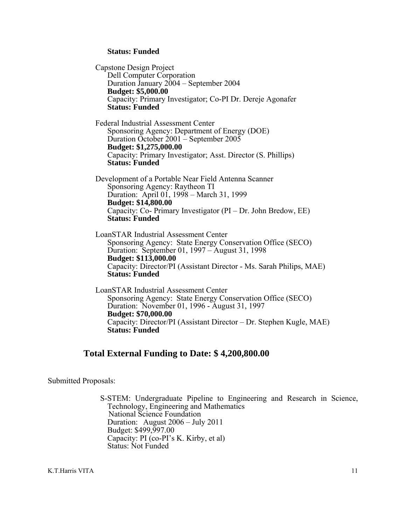#### **Status: Funded**

Capstone Design Project Dell Computer Corporation Duration January 2004 – September 2004 **Budget: \$5,000.00**  Capacity: Primary Investigator; Co-PI Dr. Dereje Agonafer **Status: Funded**  Federal Industrial Assessment Center Sponsoring Agency: Department of Energy (DOE) Duration October 2001 – September 2005 **Budget: \$1,275,000.00**  Capacity: Primary Investigator; Asst. Director (S. Phillips) **Status: Funded**  Development of a Portable Near Field Antenna Scanner Sponsoring Agency: Raytheon TI Duration: April 01, 1998 – March 31, 1999 **Budget: \$14,800.00**  Capacity: Co- Primary Investigator (PI – Dr. John Bredow, EE) **Status: Funded**  LoanSTAR Industrial Assessment Center Sponsoring Agency: State Energy Conservation Office (SECO) Duration: September 01, 1997 – August 31, 1998 **Budget: \$113,000.00**  Capacity: Director/PI (Assistant Director - Ms. Sarah Philips, MAE) **Status: Funded**  LoanSTAR Industrial Assessment Center Sponsoring Agency: State Energy Conservation Office (SECO) Duration: November 01, 1996 - August 31, 1997

**Budget: \$70,000.00**  Capacity: Director/PI (Assistant Director – Dr. Stephen Kugle, MAE) **Status: Funded** 

# **Total External Funding to Date: \$ 4,200,800.00**

Submitted Proposals:

S-STEM: Undergraduate Pipeline to Engineering and Research in Science, Technology, Engineering and Mathematics National Science Foundation Duration: August 2006 – July 2011 Budget: \$499,997.00 Capacity: PI (co-PI's K. Kirby, et al) Status: Not Funded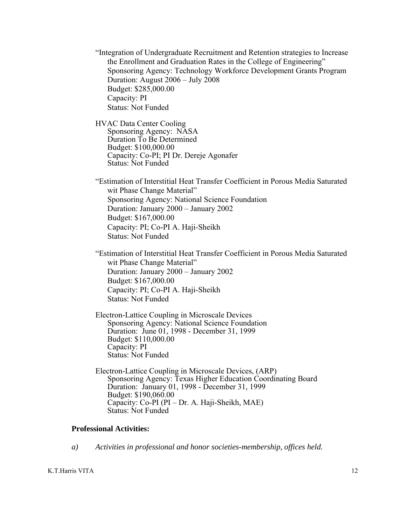"Integration of Undergraduate Recruitment and Retention strategies to Increase the Enrollment and Graduation Rates in the College of Engineering" Sponsoring Agency: Technology Workforce Development Grants Program Duration: August 2006 – July 2008 Budget: \$285,000.00 Capacity: PI Status: Not Funded

HVAC Data Center Cooling Sponsoring Agency: NASA Duration To Be Determined Budget: \$100,000.00 Capacity: Co-PI; PI Dr. Dereje Agonafer Status: Not Funded

"Estimation of Interstitial Heat Transfer Coefficient in Porous Media Saturated wit Phase Change Material" Sponsoring Agency: National Science Foundation Duration: January 2000 – January 2002 Budget: \$167,000.00 Capacity: PI; Co-PI A. Haji-Sheikh Status: Not Funded

"Estimation of Interstitial Heat Transfer Coefficient in Porous Media Saturated wit Phase Change Material" Duration: January 2000 – January 2002 Budget: \$167,000.00 Capacity: PI; Co-PI A. Haji-Sheikh Status: Not Funded

Electron-Lattice Coupling in Microscale Devices Sponsoring Agency: National Science Foundation Duration: June 01, 1998 - December 31, 1999 Budget: \$110,000.00 Capacity: PI Status: Not Funded

Electron-Lattice Coupling in Microscale Devices, (ARP) Sponsoring Agency: Texas Higher Education Coordinating Board Duration: January 01, 1998 - December 31, 1999 Budget: \$190,060.00 Capacity: Co-PI (PI – Dr. A. Haji-Sheikh, MAE) Status: Not Funded

#### **Professional Activities:**

*a) Activities in professional and honor societies-membership, offices held.* 

K.T.Harris VITA 12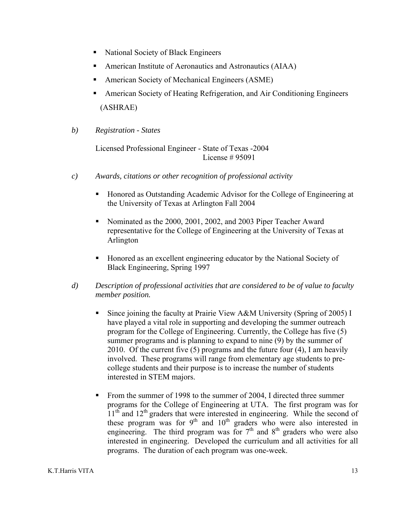- National Society of Black Engineers
- American Institute of Aeronautics and Astronautics (AIAA)
- American Society of Mechanical Engineers (ASME)
- American Society of Heating Refrigeration, and Air Conditioning Engineers (ASHRAE)
- *b) Registration States*

Licensed Professional Engineer - State of Texas -2004 License # 95091

- *c) Awards, citations or other recognition of professional activity* 
	- Honored as Outstanding Academic Advisor for the College of Engineering at the University of Texas at Arlington Fall 2004
	- Nominated as the 2000, 2001, 2002, and 2003 Piper Teacher Award representative for the College of Engineering at the University of Texas at Arlington
	- Honored as an excellent engineering educator by the National Society of Black Engineering, Spring 1997
- *d) Description of professional activities that are considered to be of value to faculty member position.* 
	- Since joining the faculty at Prairie View A&M University (Spring of 2005) I have played a vital role in supporting and developing the summer outreach program for the College of Engineering. Currently, the College has five (5) summer programs and is planning to expand to nine (9) by the summer of 2010. Of the current five (5) programs and the future four (4), I am heavily involved. These programs will range from elementary age students to precollege students and their purpose is to increase the number of students interested in STEM majors.
	- From the summer of 1998 to the summer of 2004, I directed three summer programs for the College of Engineering at UTA. The first program was for  $11<sup>th</sup>$  and  $12<sup>th</sup>$  graders that were interested in engineering. While the second of these program was for  $9<sup>th</sup>$  and  $10<sup>th</sup>$  graders who were also interested in engineering. The third program was for  $7<sup>th</sup>$  and  $8<sup>th</sup>$  graders who were also interested in engineering. Developed the curriculum and all activities for all programs. The duration of each program was one-week.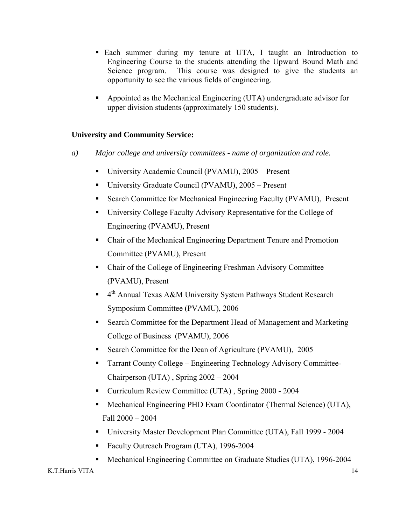- Each summer during my tenure at UTA, I taught an Introduction to Engineering Course to the students attending the Upward Bound Math and Science program. This course was designed to give the students an opportunity to see the various fields of engineering.
- Appointed as the Mechanical Engineering (UTA) undergraduate advisor for upper division students (approximately 150 students).

# **University and Community Service:**

- *a) Major college and university committees name of organization and role.* 
	- University Academic Council (PVAMU), 2005 Present
	- University Graduate Council (PVAMU), 2005 Present
	- Search Committee for Mechanical Engineering Faculty (PVAMU), Present
	- University College Faculty Advisory Representative for the College of Engineering (PVAMU), Present
	- Chair of the Mechanical Engineering Department Tenure and Promotion Committee (PVAMU), Present
	- Chair of the College of Engineering Freshman Advisory Committee (PVAMU), Present
	- $\blacksquare$  4<sup>th</sup> Annual Texas A&M University System Pathways Student Research Symposium Committee (PVAMU), 2006
	- Search Committee for the Department Head of Management and Marketing College of Business (PVAMU), 2006
	- Search Committee for the Dean of Agriculture (PVAMU), 2005
	- Tarrant County College Engineering Technology Advisory Committee-Chairperson (UTA) , Spring 2002 – 2004
	- Curriculum Review Committee (UTA) , Spring 2000 2004
	- Mechanical Engineering PHD Exam Coordinator (Thermal Science) (UTA), Fall 2000 – 2004
	- University Master Development Plan Committee (UTA), Fall 1999 2004
	- Faculty Outreach Program (UTA), 1996-2004
	- Mechanical Engineering Committee on Graduate Studies (UTA), 1996-2004